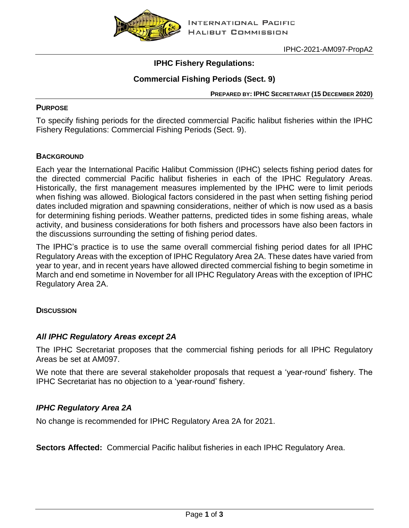

IPHC-2021-AM097-PropA2

# **IPHC Fishery Regulations:**

# **Commercial Fishing Periods (Sect. 9)**

**PREPARED BY: IPHC SECRETARIAT (15 DECEMBER 2020)**

#### **PURPOSE**

To specify fishing periods for the directed commercial Pacific halibut fisheries within the IPHC Fishery Regulations: Commercial Fishing Periods (Sect. 9).

### **BACKGROUND**

Each year the International Pacific Halibut Commission (IPHC) selects fishing period dates for the directed commercial Pacific halibut fisheries in each of the IPHC Regulatory Areas. Historically, the first management measures implemented by the IPHC were to limit periods when fishing was allowed. Biological factors considered in the past when setting fishing period dates included migration and spawning considerations, neither of which is now used as a basis for determining fishing periods. Weather patterns, predicted tides in some fishing areas, whale activity, and business considerations for both fishers and processors have also been factors in the discussions surrounding the setting of fishing period dates.

The IPHC's practice is to use the same overall commercial fishing period dates for all IPHC Regulatory Areas with the exception of IPHC Regulatory Area 2A. These dates have varied from year to year, and in recent years have allowed directed commercial fishing to begin sometime in March and end sometime in November for all IPHC Regulatory Areas with the exception of IPHC Regulatory Area 2A.

#### **DISCUSSION**

## *All IPHC Regulatory Areas except 2A*

The IPHC Secretariat proposes that the commercial fishing periods for all IPHC Regulatory Areas be set at AM097.

We note that there are several stakeholder proposals that request a 'year-round' fishery. The IPHC Secretariat has no objection to a 'year-round' fishery.

## *IPHC Regulatory Area 2A*

No change is recommended for IPHC Regulatory Area 2A for 2021.

**Sectors Affected:** Commercial Pacific halibut fisheries in each IPHC Regulatory Area.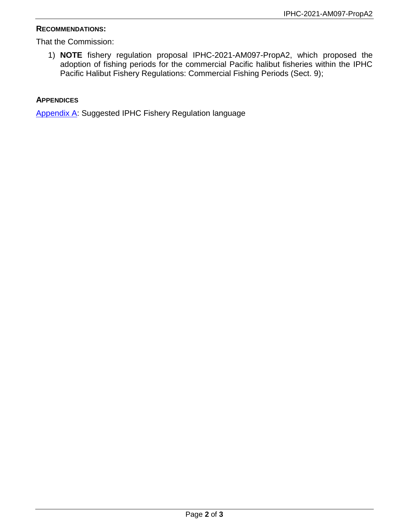#### **RECOMMENDATIONS:**

That the Commission:

1) **NOTE** fishery regulation proposal IPHC-2021-AM097-PropA2, which proposed the adoption of fishing periods for the commercial Pacific halibut fisheries within the IPHC Pacific Halibut Fishery Regulations: Commercial Fishing Periods (Sect. 9);

#### **APPENDICES**

<span id="page-1-0"></span>[Appendix A:](#page-1-0) Suggested IPHC Fishery Regulation language